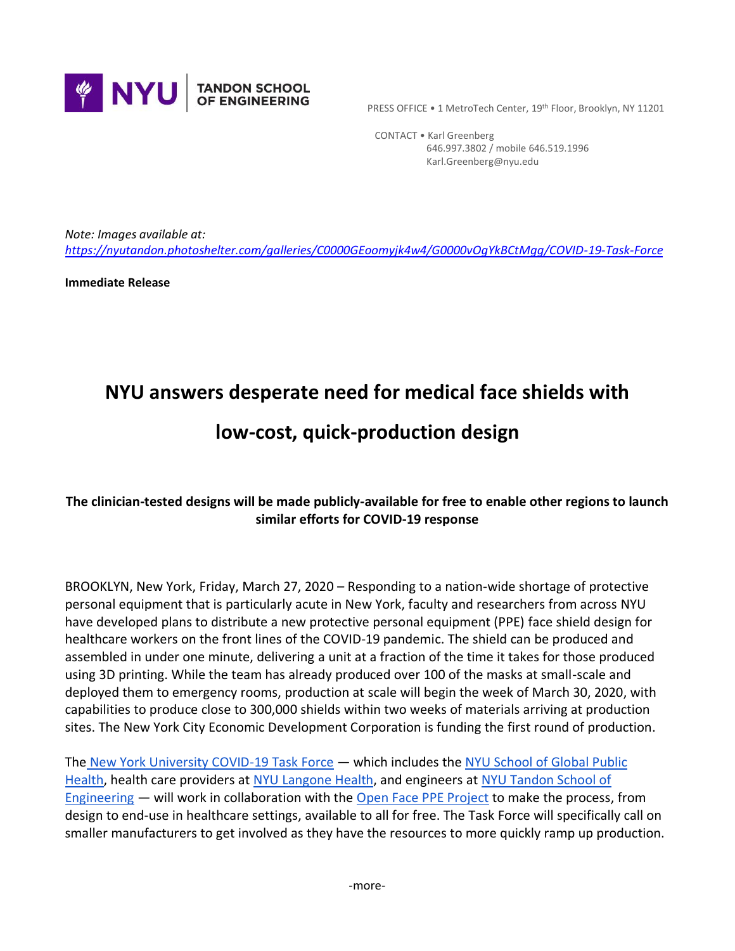

PRESS OFFICE • 1 MetroTech Center, 19th Floor, Brooklyn, NY 11201

 CONTACT • Karl Greenberg 646.997.3802 / mobile 646.519.1996 Karl.Greenberg@nyu.edu

*Note: Images available at: <https://nyutandon.photoshelter.com/galleries/C0000GEoomyjk4w4/G0000vOgYkBCtMgg/COVID-19-Task-Force>*

**Immediate Release**

# **NYU answers desperate need for medical face shields with**

# **low-cost, quick-production design**

#### **The clinician-tested designs will be made publicly-available for free to enable other regions to launch similar efforts for COVID-19 response**

BROOKLYN, New York, Friday, March 27, 2020 – Responding to a nation-wide shortage of protective personal equipment that is particularly acute in New York, faculty and researchers from across NYU have developed plans to distribute a new protective personal equipment (PPE) face shield design for healthcare workers on the front lines of the COVID-19 pandemic. The shield can be produced and assembled in under one minute, delivering a unit at a fraction of the time it takes for those produced using 3D printing. While the team has already produced over 100 of the masks at small-scale and deployed them to emergency rooms, production at scale will begin the week of March 30, 2020, with capabilities to produce close to 300,000 shields within two weeks of materials arriving at production sites. The New York City Economic Development Corporation is funding the first round of production.

The [New York University COVID-19 Task Force](https://wp.nyu.edu/covid19taskforce/) — which includes the [NYU School of Global Public](https://nyupublichealth.lpages.co/the-nyu-master-of-public-health-program/?gclid=CjwKCAjwguzzBRBiEiwAgU0FT-1wmNFCHQKTUH9hwY6_fFPj6LZafss8V6TJDh4oS1NvpdMKeW3ebhoCP00QAvD_BwE)  [Health,](https://nyupublichealth.lpages.co/the-nyu-master-of-public-health-program/?gclid=CjwKCAjwguzzBRBiEiwAgU0FT-1wmNFCHQKTUH9hwY6_fFPj6LZafss8V6TJDh4oS1NvpdMKeW3ebhoCP00QAvD_BwE) health care providers at [NYU Langone Health,](https://nyulangone.org/) and engineers at [NYU Tandon School of](https://engineering.nyu.edu/)  [Engineering](https://engineering.nyu.edu/) — will work in collaboration with the [Open Face PPE Project](https://open-face-website.now.sh/) to make the process, from design to end-use in healthcare settings, available to all for free. The Task Force will specifically call on smaller manufacturers to get involved as they have the resources to more quickly ramp up production.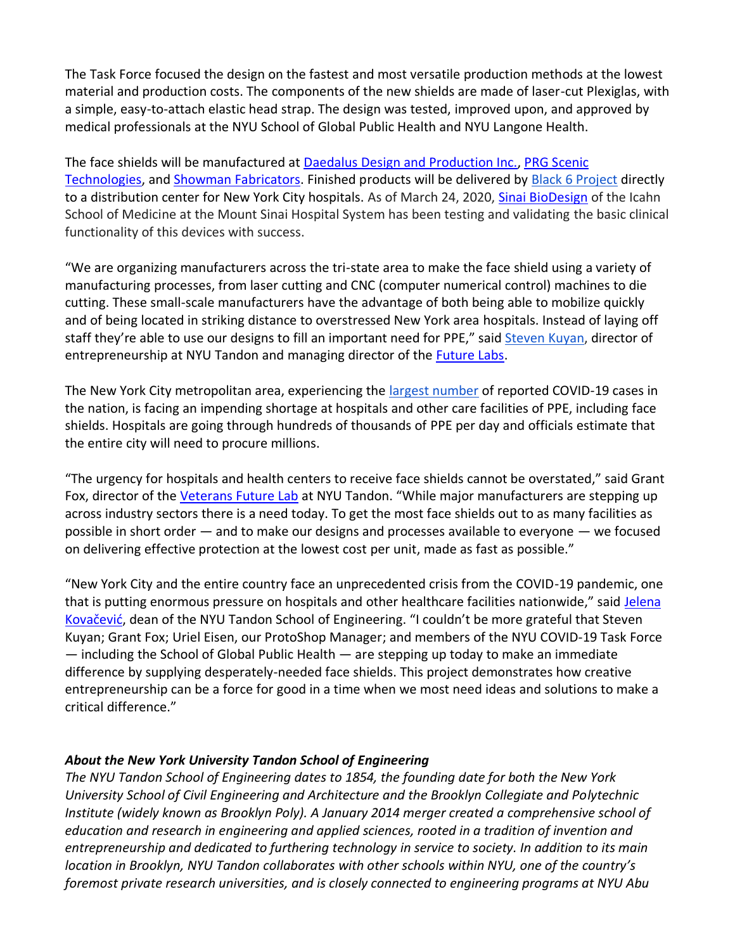The Task Force focused the design on the fastest and most versatile production methods at the lowest material and production costs. The components of the new shields are made of laser-cut Plexiglas, with a simple, easy-to-attach elastic head strap. The design was tested, improved upon, and approved by medical professionals at the NYU School of Global Public Health and NYU Langone Health.

The face shields will be manufactured at [Daedalus Design and Production Inc.,](http://www.daedalusnyc.com/) [PRG Scenic](https://www.prg.com/)  [Technologies,](https://www.prg.com/) and [Showman Fabricators.](https://www.showfab.com/) Finished products will be delivered b[y Black 6 Project](https://black6project.org/meet-the-team/) directly to a distribution center for New York City hospitals. As of March 24, 2020, [Sinai BioDesign](http://sinaibio.design/who-we-are) of the Icahn School of Medicine at the Mount Sinai Hospital System has been testing and validating the basic clinical functionality of this devices with success.

"We are organizing manufacturers across the tri-state area to make the face shield using a variety of manufacturing processes, from laser cutting and CNC (computer numerical control) machines to die cutting. These small-scale manufacturers have the advantage of both being able to mobilize quickly and of being located in striking distance to overstressed New York area hospitals. Instead of laying off staff they're able to use our designs to fill an important need for PPE," said [Steven Kuyan,](https://engineering.nyu.edu/staff/steven-kuyan) director of entrepreneurship at NYU Tandon and managing director of the [Future Labs.](https://futurelabs.nyc/)

The New York City metropolitan area, experiencing the [largest number](https://www.cdc.gov/coronavirus/2019-ncov/cases-updates/cases-in-us.html#2019coronavirus-summary) of reported COVID-19 cases in the nation, is facing an impending shortage at hospitals and other care facilities of PPE, including face shields. Hospitals are going through hundreds of thousands of PPE per day and officials estimate that the entire city will need to procure millions.

"The urgency for hospitals and health centers to receive face shields cannot be overstated," said Grant Fox, director of the [Veterans Future Lab](https://futurelabs.nyc/labs/veterans-future-lab/) at NYU Tandon. "While major manufacturers are stepping up across industry sectors there is a need today. To get the most face shields out to as many facilities as possible in short order — and to make our designs and processes available to everyone — we focused on delivering effective protection at the lowest cost per unit, made as fast as possible."

"New York City and the entire country face an unprecedented crisis from the COVID-19 pandemic, one that is putting enormous pressure on hospitals and other healthcare facilities nationwide," said [Jelena](https://engineering.nyu.edu/faculty/jelena-kovacevic)  [Kovačević](https://engineering.nyu.edu/faculty/jelena-kovacevic), dean of the NYU Tandon School of Engineering. "I couldn't be more grateful that Steven Kuyan; Grant Fox; Uriel Eisen, our ProtoShop Manager; and members of the NYU COVID-19 Task Force — including the School of Global Public Health — are stepping up today to make an immediate difference by supplying desperately-needed face shields. This project demonstrates how creative entrepreneurship can be a force for good in a time when we most need ideas and solutions to make a critical difference."

## *About the New York University Tandon School of Engineering*

*The NYU Tandon School of Engineering dates to 1854, the founding date for both the New York University School of Civil Engineering and Architecture and the Brooklyn Collegiate and Polytechnic Institute (widely known as Brooklyn Poly). A January 2014 merger created a comprehensive school of education and research in engineering and applied sciences, rooted in a tradition of invention and entrepreneurship and dedicated to furthering technology in service to society. In addition to its main location in Brooklyn, NYU Tandon collaborates with other schools within NYU, one of the country's foremost private research universities, and is closely connected to engineering programs at NYU Abu*